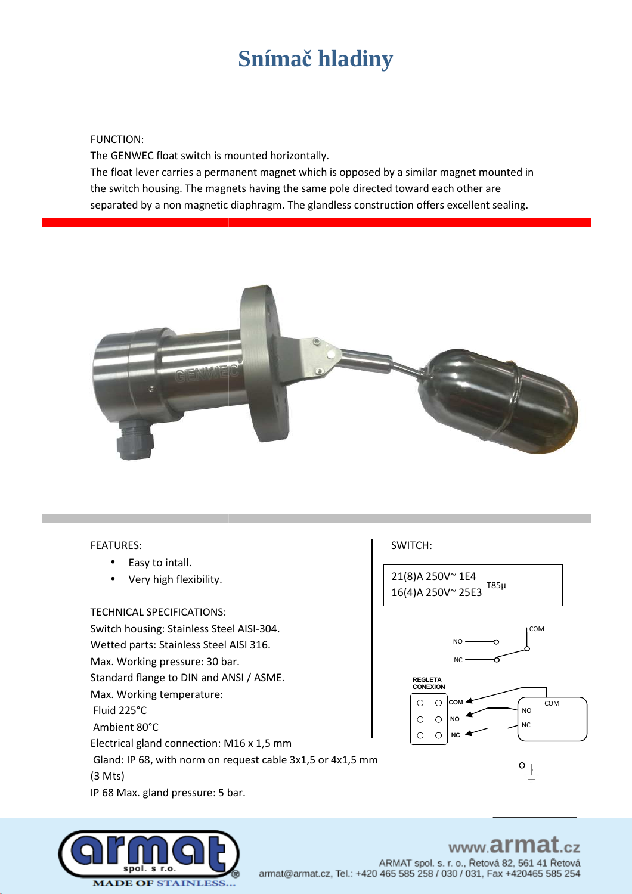## $Snimač$  **hladiny**

#### FUNCTION:

The GENWEC float switch is mounted horizontally.

The float lever carries a permanent magnet which is opposed by a similar magnet mounted in the switch housing. The magnets having the same pole directed toward each other are separated by a non magnetic diaphragm. The glandless construction offers excellent sealing.



#### FEATURES:

- Easy to intall.
- Very high flexibility.

#### TECHNICAL SPECIFICATIONS:

TECHNICAL SPECIFICATIONS:<br>Switch housing: Stainless Steel AISI-304.

Wetted parts: Stainless Steel AISI 316.

Max. Working pressure: 30 bar.

Standard flange to DIN and ANSI / ASME.

Max. Working temperature:

Fluid 225°C

Ambient 80°C

Electrical gland connection: M16 x 1,5 mm

Gland: IP 68, with norm on request cable 3x1,5 or 4x1,5 mm (3 Mts)

IP 68 Max. gland pressure: 5 bar.

# 21(8)A 250V~ 1E4

16(4)A 250V~ 25E3 T85µ





#### www.armat  $CZ$

ARMAT spol. s. r. o., Řetová 82, 561 41 Řetová armat@armat.cz, Tel.: +420 465 585 258 / 030 / 031, Fax +420465 585 254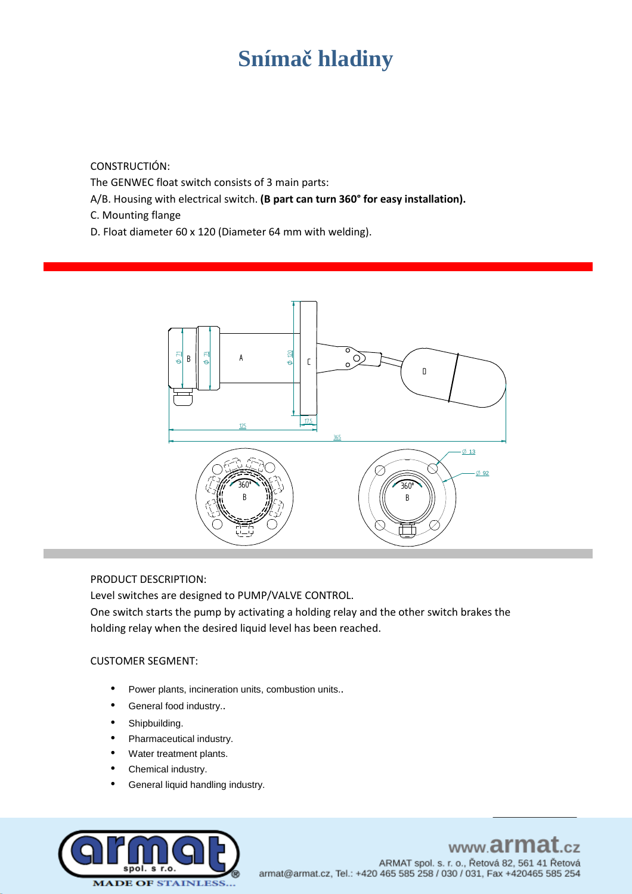## **Snímač hladiny**

CONSTRUCTIÓN:

The GENWEC float switch consists of 3 main parts:

- A/B. Housing with electrical switch. **(B part can turn 360° for easy installation).**
- C. Mounting flange
- D. Float diameter 60 x 120 (Diameter 64 mm with welding).



#### PRODUCT DESCRIPTION:

Level switches are designed to PUMP/VALVE CONTROL.

One switch starts the pump by activating a holding relay and the other switch brakes the holding relay when the desired liquid level has been reached.

#### CUSTOMER SEGMENT:

- Power plants, incineration units, combustion units..
- General food industry..
- Shipbuilding.
- Pharmaceutical industry.
- Water treatment plants.
- Chemical industry.
- General liquid handling industry.



www.armat.cz

ARMAT spol. s. r. o., Řetová 82, 561 41 Řetová armat@armat.cz, Tel.: +420 465 585 258 / 030 / 031, Fax +420465 585 254